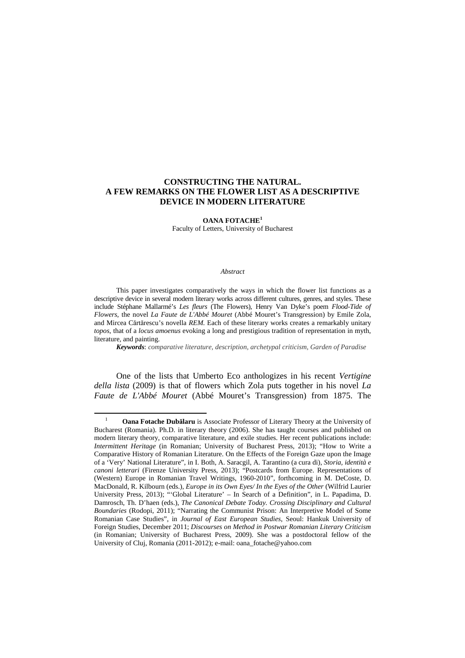**OANA FOTACHE<sup>1</sup>**

Faculty of Letters, University of Bucharest

#### *Abstract*

This paper investigates comparatively the ways in which the flower list functions as a descriptive device in several modern literary works across different cultures, genres, and styles. These include Stéphane Mallarmé's *Les fleurs* (The Flowers)*,* Henry Van Dyke's poem *Flood-Tide of Flowers,* the novel *La Faute de L'Abbé Mouret* (Abbé Mouret's Transgression) by Emile Zola, and Mircea Cărtărescu's novella *REM.* Each of these literary works creates a remarkably unitary *topos*, that of a *locus amoenus* evoking a long and prestigious tradition of representation in myth, literature, and painting.

*Keywords*: *comparative literature, description, archetypal criticism, Garden of Paradise*

One of the lists that Umberto Eco anthologizes in his recent *Vertigine della lista* (2009) is that of flowers which Zola puts together in his novel *La Faute de L'Abbé Mouret* (Abbé Mouret's Transgression) from 1875. The

<sup>1</sup> **Oana Fotache Dubălaru** is Associate Professor of Literary Theory at the University of Bucharest (Romania). Ph.D. in literary theory (2006). She has taught courses and published on modern literary theory, comparative literature, and exile studies. Her recent publications include: *Intermittent Heritage* (in Romanian; University of Bucharest Press, 2013); "How to Write a Comparative History of Romanian Literature. On the Effects of the Foreign Gaze upon the Image of a 'Very' National Literature", in I. Both, A. Saracgil, A. Tarantino (a cura di), *Storia, identità e canoni letterari* (Firenze University Press, 2013); "Postcards from Europe. Representations of (Western) Europe in Romanian Travel Writings, 1960-2010", forthcoming in M. DeCoste, D. MacDonald, R. Kilbourn (eds.), *Europe in its Own Eyes/ In the Eyes of the Other* (Wilfrid Laurier University Press, 2013); "'Global Literature' – In Search of a Definition", in L. Papadima, D. Damrosch, Th. D'haen (eds.), *The Canonical Debate Today. Crossing Disciplinary and Cultural Boundaries* (Rodopi, 2011); "Narrating the Communist Prison: An Interpretive Model of Some Romanian Case Studies", in *Journal of East European Studies*, Seoul: Hankuk University of Foreign Studies, December 2011; *Discourses on Method in Postwar Romanian Literary Criticism* (in Romanian; University of Bucharest Press, 2009). She was a postdoctoral fellow of the University of Cluj, Romania (2011-2012); e-mail: oana\_fotache@yahoo.com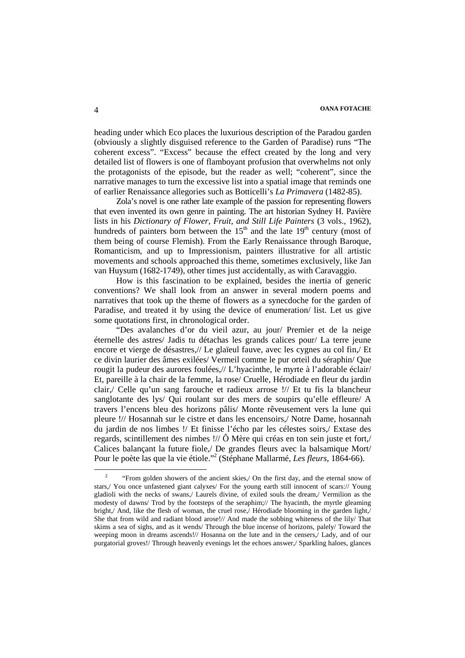heading under which Eco places the luxurious description of the Paradou garden (obviously a slightly disguised reference to the Garden of Paradise) runs "The coherent excess". "Excess" because the effect created by the long and very detailed list of flowers is one of flamboyant profusion that overwhelms not only the protagonists of the episode, but the reader as well; "coherent", since the narrative manages to turn the excessive list into a spatial image that reminds one of earlier Renaissance allegories such as Botticelli's *La Primavera* (1482-85).

Zola's novel is one rather late example of the passion for representing flowers that even invented its own genre in painting. The art historian Sydney H. Pavière lists in his *Dictionary of Flower, Fruit, and Still Life Painters* (3 vols., 1962), hundreds of painters born between the  $15<sup>th</sup>$  and the late  $19<sup>th</sup>$  century (most of them being of course Flemish). From the Early Renaissance through Baroque, Romanticism, and up to Impressionism, painters illustrative for all artistic movements and schools approached this theme, sometimes exclusively, like Jan van Huysum (1682-1749), other times just accidentally, as with Caravaggio.

How is this fascination to be explained, besides the inertia of generic conventions? We shall look from an answer in several modern poems and narratives that took up the theme of flowers as a synecdoche for the garden of Paradise, and treated it by using the device of enumeration/ list. Let us give some quotations first, in chronological order.

"Des avalanches d'or du vieil azur, au jour/ Premier et de la neige éternelle des astres/ Jadis tu détachas les grands calices pour/ La terre jeune encore et vierge de désastres,// Le glaïeul fauve, avec les cygnes au col fin,/ Et ce divin laurier des âmes exilées/ Vermeil comme le pur orteil du séraphin/ Que rougit la pudeur des aurores foulées,// L'hyacinthe, le myrte à l'adorable éclair/ Et, pareille à la chair de la femme, la rose/ Cruelle, Hérodiade en fleur du jardin clair,/ Celle qu'un sang farouche et radieux arrose !// Et tu fis la blancheur sanglotante des lys/ Qui roulant sur des mers de soupirs qu'elle effleure/ A travers l'encens bleu des horizons pâlis/ Monte rêveusement vers la lune qui pleure !// Hosannah sur le cistre et dans les encensoirs,/ Notre Dame, hosannah du jardin de nos limbes !/ Et finisse l'écho par les célestes soirs,/ Extase des regards, scintillement des nimbes !// Ô Mère qui créas en ton sein juste et fort,/ Calices balançant la future fiole,/ De grandes fleurs avec la balsamique Mort/ Pour le poète las que la vie étiole."<sup>2</sup> (Stéphane Mallarmé, *Les fleurs*, 1864-66).

<sup>2</sup> "From golden showers of the ancient skies,/ On the first day, and the eternal snow of stars,/ You once unfastened giant calyxes/ For the young earth still innocent of scars:// Young gladioli with the necks of swans,/ Laurels divine, of exiled souls the dream,/ Vermilion as the modesty of dawns/ Trod by the footsteps of the seraphim;// The hyacinth, the myrtle gleaming bright,/ And, like the flesh of woman, the cruel rose,/ Hérodiade blooming in the garden light,/ She that from wild and radiant blood arose!// And made the sobbing whiteness of the lily/ That skims a sea of sighs, and as it wends/ Through the blue incense of horizons, palely/ Toward the weeping moon in dreams ascends!// Hosanna on the lute and in the censers,/ Lady, and of our purgatorial groves!/ Through heavenly evenings let the echoes answer,/ Sparkling haloes, glances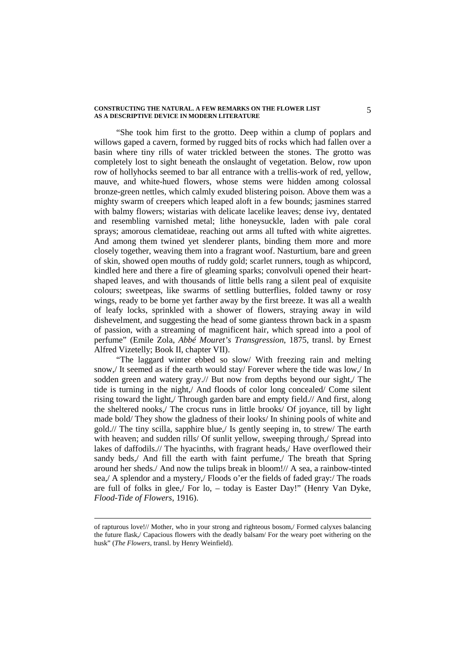"She took him first to the grotto. Deep within a clump of poplars and willows gaped a cavern, formed by rugged bits of rocks which had fallen over a basin where tiny rills of water trickled between the stones. The grotto was completely lost to sight beneath the onslaught of vegetation. Below, row upon row of hollyhocks seemed to bar all entrance with a trellis-work of red, yellow, mauve, and white-hued flowers, whose stems were hidden among colossal bronze-green nettles, which calmly exuded blistering poison. Above them was a mighty swarm of creepers which leaped aloft in a few bounds; jasmines starred with balmy flowers; wistarias with delicate lacelike leaves; dense ivy, dentated and resembling varnished metal; lithe honeysuckle, laden with pale coral sprays; amorous clematideae, reaching out arms all tufted with white aigrettes. And among them twined yet slenderer plants, binding them more and more closely together, weaving them into a fragrant woof. Nasturtium, bare and green of skin, showed open mouths of ruddy gold; scarlet runners, tough as whipcord, kindled here and there a fire of gleaming sparks; convolvuli opened their heartshaped leaves, and with thousands of little bells rang a silent peal of exquisite colours; sweetpeas, like swarms of settling butterflies, folded tawny or rosy wings, ready to be borne yet farther away by the first breeze. It was all a wealth of leafy locks, sprinkled with a shower of flowers, straying away in wild dishevelment, and suggesting the head of some giantess thrown back in a spasm of passion, with a streaming of magnificent hair, which spread into a pool of perfume" (Emile Zola, *Abbé Mouret's Transgression*, 1875, transl. by Ernest Alfred Vizetelly; Book II, chapter VII).

"The laggard winter ebbed so slow/ With freezing rain and melting snow,/ It seemed as if the earth would stay/ Forever where the tide was low,/ In sodden green and watery gray.// But now from depths beyond our sight,/ The tide is turning in the night,/ And floods of color long concealed/ Come silent rising toward the light,/ Through garden bare and empty field.// And first, along the sheltered nooks,/ The crocus runs in little brooks/ Of joyance, till by light made bold/ They show the gladness of their looks/ In shining pools of white and gold.// The tiny scilla, sapphire blue,/ Is gently seeping in, to strew/ The earth with heaven; and sudden rills/ Of sunlit yellow, sweeping through, Spread into lakes of daffodils.// The hyacinths, with fragrant heads,/ Have overflowed their sandy beds, And fill the earth with faint perfume. The breath that Spring around her sheds./ And now the tulips break in bloom!// A sea, a rainbow-tinted sea,/ A splendor and a mystery,/ Floods o'er the fields of faded gray:/ The roads are full of folks in glee,/ For lo, – today is Easter Day!" (Henry Van Dyke, *Flood-Tide of Flowers*, 1916).

of rapturous love!// Mother, who in your strong and righteous bosom,/ Formed calyxes balancing the future flask,/ Capacious flowers with the deadly balsam/ For the weary poet withering on the husk" (*The Flowers,* transl. by Henry Weinfield).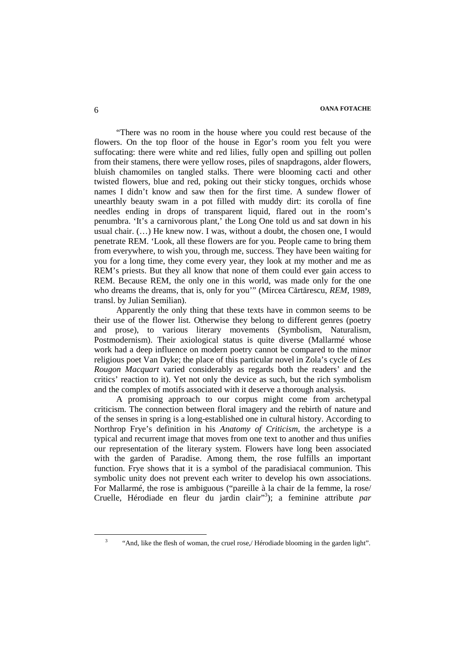"There was no room in the house where you could rest because of the flowers. On the top floor of the house in Egor's room you felt you were suffocating: there were white and red lilies, fully open and spilling out pollen from their stamens, there were yellow roses, piles of snapdragons, alder flowers, bluish chamomiles on tangled stalks. There were blooming cacti and other twisted flowers, blue and red, poking out their sticky tongues, orchids whose names I didn't know and saw then for the first time. A sundew flower of unearthly beauty swam in a pot filled with muddy dirt: its corolla of fine needles ending in drops of transparent liquid, flared out in the room's penumbra. 'It's a carnivorous plant,' the Long One told us and sat down in his usual chair. (…) He knew now. I was, without a doubt, the chosen one, I would penetrate REM. 'Look, all these flowers are for you. People came to bring them from everywhere, to wish you, through me, success. They have been waiting for you for a long time, they come every year, they look at my mother and me as REM's priests. But they all know that none of them could ever gain access to REM. Because REM, the only one in this world, was made only for the one who dreams the dreams, that is, only for you'" (Mircea Cărtărescu, *REM*, 1989, transl. by Julian Semilian).

Apparently the only thing that these texts have in common seems to be their use of the flower list. Otherwise they belong to different genres (poetry and prose), to various literary movements (Symbolism, Naturalism, Postmodernism). Their axiological status is quite diverse (Mallarmé whose work had a deep influence on modern poetry cannot be compared to the minor religious poet Van Dyke; the place of this particular novel in Zola's cycle of *Les Rougon Macquart* varied considerably as regards both the readers' and the critics' reaction to it). Yet not only the device as such, but the rich symbolism and the complex of motifs associated with it deserve a thorough analysis.

A promising approach to our corpus might come from archetypal criticism. The connection between floral imagery and the rebirth of nature and of the senses in spring is a long-established one in cultural history. According to Northrop Frye's definition in his *Anatomy of Criticism*, the archetype is a typical and recurrent image that moves from one text to another and thus unifies our representation of the literary system. Flowers have long been associated with the garden of Paradise. Among them, the rose fulfills an important function. Frye shows that it is a symbol of the paradisiacal communion. This symbolic unity does not prevent each writer to develop his own associations. For Mallarmé, the rose is ambiguous ("pareille à la chair de la femme, la rose/ Cruelle, Hérodiade en fleur du jardin clair"<sup>3</sup>); a feminine attribute par

<sup>3</sup> "And, like the flesh of woman, the cruel rose,/ Hérodiade blooming in the garden light".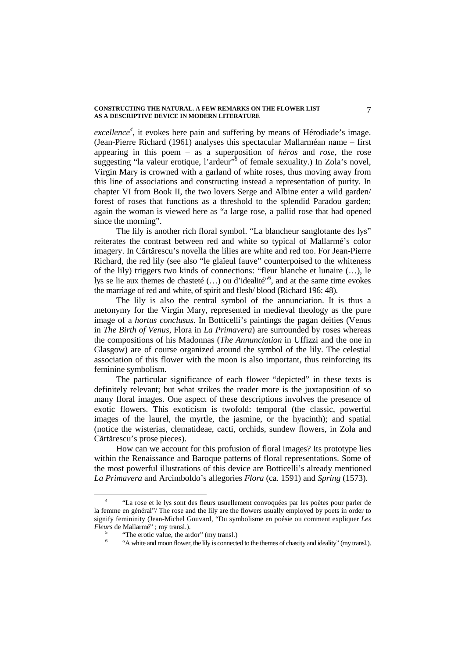*excellence<sup>4</sup>* , it evokes here pain and suffering by means of Hérodiade's image. (Jean-Pierre Richard (1961) analyses this spectacular Mallarméan name – first appearing in this poem – as a superposition of *héros* and *rose,* the rose suggesting "la valeur erotique, l'ardeur"<sup>5</sup> of female sexuality.) In Zola's novel, Virgin Mary is crowned with a garland of white roses, thus moving away from this line of associations and constructing instead a representation of purity. In chapter VI from Book II, the two lovers Serge and Albine enter a wild garden/ forest of roses that functions as a threshold to the splendid Paradou garden; again the woman is viewed here as "a large rose, a pallid rose that had opened since the morning".

The lily is another rich floral symbol. "La blancheur sanglotante des lys" reiterates the contrast between red and white so typical of Mallarmé's color imagery. In Cărtărescu's novella the lilies are white and red too. For Jean-Pierre Richard, the red lily (see also "le glaïeul fauve" counterpoised to the whiteness of the lily) triggers two kinds of connections: "fleur blanche et lunaire (…), le lys se lie aux themes de chasteté (...) ou d'idealité"<sup>6</sup>, and at the same time evokes the marriage of red and white, of spirit and flesh/ blood (Richard 196: 48).

The lily is also the central symbol of the annunciation. It is thus a metonymy for the Virgin Mary, represented in medieval theology as the pure image of a *hortus conclusus.* In Botticelli's paintings the pagan deities (Venus in *The Birth of Venus*, Flora in *La Primavera*) are surrounded by roses whereas the compositions of his Madonnas (*The Annunciation* in Uffizzi and the one in Glasgow) are of course organized around the symbol of the lily. The celestial association of this flower with the moon is also important, thus reinforcing its feminine symbolism.

The particular significance of each flower "depicted" in these texts is definitely relevant; but what strikes the reader more is the juxtaposition of so many floral images. One aspect of these descriptions involves the presence of exotic flowers. This exoticism is twofold: temporal (the classic, powerful images of the laurel, the myrtle, the jasmine, or the hyacinth); and spatial (notice the wisterias, clematideae, cacti, orchids, sundew flowers, in Zola and Cărtărescu's prose pieces).

How can we account for this profusion of floral images? Its prototype lies within the Renaissance and Baroque patterns of floral representations. Some of the most powerful illustrations of this device are Botticelli's already mentioned *La Primavera* and Arcimboldo's allegories *Flora* (ca. 1591) and *Spring* (1573).

<sup>4</sup> "La rose et le lys sont des fleurs usuellement convoquées par les poètes pour parler de la femme en général"/ The rose and the lily are the flowers usually employed by poets in order to signify femininity (Jean-Michel Gouvard, "Du symbolisme en poésie ou comment expliquer *Les Fleurs* de Mallarmé" ; my transl.).

<sup>5</sup> "The erotic value, the ardor" (my transl.)

<sup>6</sup> "A white and moon flower, the lily is connected to the themes of chastity and ideality" (my transl.).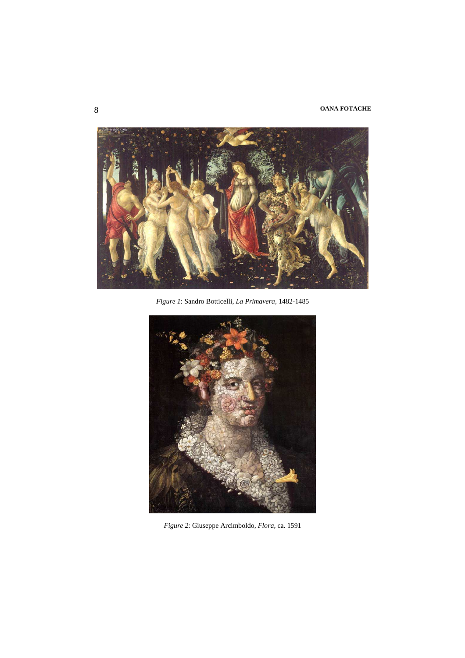# 8 **OANA FOTACHE**



*Figure 1*: Sandro Botticelli, *La Primavera,* 1482-1485



*Figure 2*: Giuseppe Arcimboldo, *Flora,* ca. 1591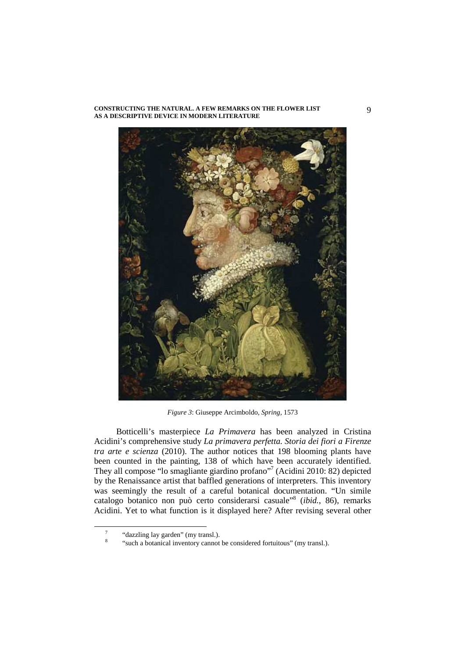

*Figure 3*: Giuseppe Arcimboldo, *Spring,* 1573

Botticelli's masterpiece *La Primavera* has been analyzed in Cristina Acidini's comprehensive study *La primavera perfetta. Storia dei fiori a Firenze tra arte e scienza* (2010). The author notices that 198 blooming plants have been counted in the painting, 138 of which have been accurately identified. They all compose "lo smagliante giardino profano"<sup>7</sup> (Acidini 2010: 82) depicted by the Renaissance artist that baffled generations of interpreters. This inventory was seemingly the result of a careful botanical documentation. "Un simile catalogo botanico non può certo considerarsi casuale"<sup>8</sup> (*ibid.*, 86), remarks Acidini. Yet to what function is it displayed here? After revising several other

<sup>7</sup> "dazzling lay garden" (my transl.).

<sup>8</sup> "such a botanical inventory cannot be considered fortuitous" (my transl.).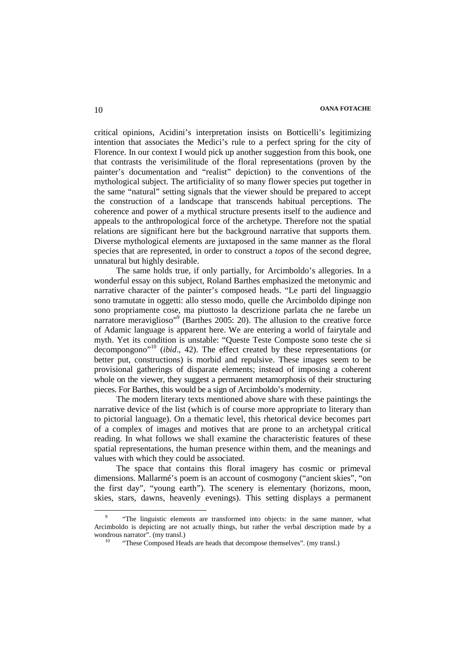critical opinions, Acidini's interpretation insists on Botticelli's legitimizing intention that associates the Medici's rule to a perfect spring for the city of Florence. In our context I would pick up another suggestion from this book, one that contrasts the verisimilitude of the floral representations (proven by the painter's documentation and "realist" depiction) to the conventions of the mythological subject. The artificiality of so many flower species put together in the same "natural" setting signals that the viewer should be prepared to accept the construction of a landscape that transcends habitual perceptions. The coherence and power of a mythical structure presents itself to the audience and appeals to the anthropological force of the archetype. Therefore not the spatial relations are significant here but the background narrative that supports them. Diverse mythological elements are juxtaposed in the same manner as the floral species that are represented, in order to construct a *topos* of the second degree, unnatural but highly desirable.

The same holds true, if only partially, for Arcimboldo's allegories. In a wonderful essay on this subject, Roland Barthes emphasized the metonymic and narrative character of the painter's composed heads. "Le parti del linguaggio sono tramutate in oggetti: allo stesso modo, quelle che Arcimboldo dipinge non sono propriamente cose, ma piuttosto la descrizione parlata che ne farebe un narratore meraviglioso"<sup>9</sup> (Barthes 2005: 20). The allusion to the creative force of Adamic language is apparent here. We are entering a world of fairytale and myth. Yet its condition is unstable: "Queste Teste Composte sono teste che si decompongono"<sup>10</sup> (*ibid*., 42). The effect created by these representations (or better put, constructions) is morbid and repulsive. These images seem to be provisional gatherings of disparate elements; instead of imposing a coherent whole on the viewer, they suggest a permanent metamorphosis of their structuring pieces. For Barthes, this would be a sign of Arcimboldo's modernity.

The modern literary texts mentioned above share with these paintings the narrative device of the list (which is of course more appropriate to literary than to pictorial language). On a thematic level, this rhetorical device becomes part of a complex of images and motives that are prone to an archetypal critical reading. In what follows we shall examine the characteristic features of these spatial representations, the human presence within them, and the meanings and values with which they could be associated.

The space that contains this floral imagery has cosmic or primeval dimensions. Mallarmé's poem is an account of cosmogony ("ancient skies", "on the first day", "young earth"). The scenery is elementary (horizons, moon, skies, stars, dawns, heavenly evenings). This setting displays a permanent

<sup>9</sup> "The linguistic elements are transformed into objects: in the same manner, what Arcimboldo is depicting are not actually things, but rather the verbal description made by a wondrous narrator". (my transl.)

<sup>&</sup>quot;These Composed Heads are heads that decompose themselves". (my transl.)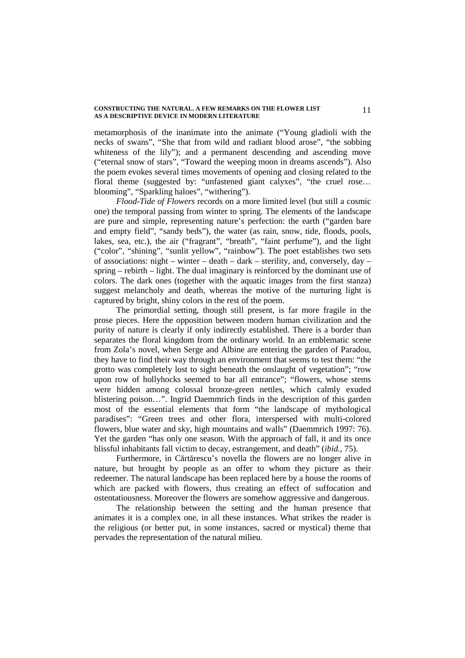metamorphosis of the inanimate into the animate ("Young gladioli with the necks of swans", "She that from wild and radiant blood arose", "the sobbing whiteness of the lily"); and a permanent descending and ascending move ("eternal snow of stars", "Toward the weeping moon in dreams ascends"). Also the poem evokes several times movements of opening and closing related to the floral theme (suggested by: "unfastened giant calyxes", "the cruel rose… blooming", "Sparkling haloes", "withering").

*Flood-Tide of Flowers* records on a more limited level (but still a cosmic one) the temporal passing from winter to spring. The elements of the landscape are pure and simple, representing nature's perfection: the earth ("garden bare and empty field", "sandy beds"), the water (as rain, snow, tide, floods, pools, lakes, sea, etc.), the air ("fragrant", "breath", "faint perfume"), and the light ("color", "shining", "sunlit yellow", "rainbow"). The poet establishes two sets of associations: night – winter – death – dark – sterility, and, conversely, day – spring – rebirth – light. The dual imaginary is reinforced by the dominant use of colors. The dark ones (together with the aquatic images from the first stanza) suggest melancholy and death, whereas the motive of the nurturing light is captured by bright, shiny colors in the rest of the poem.

The primordial setting, though still present, is far more fragile in the prose pieces. Here the opposition between modern human civilization and the purity of nature is clearly if only indirectly established. There is a border than separates the floral kingdom from the ordinary world. In an emblematic scene from Zola's novel, when Serge and Albine are entering the garden of Paradou, they have to find their way through an environment that seems to test them: "the grotto was completely lost to sight beneath the onslaught of vegetation"; "row upon row of hollyhocks seemed to bar all entrance"; "flowers, whose stems were hidden among colossal bronze-green nettles, which calmly exuded blistering poison…". Ingrid Daemmrich finds in the description of this garden most of the essential elements that form "the landscape of mythological paradises": "Green trees and other flora, interspersed with multi-colored flowers, blue water and sky, high mountains and walls" (Daemmrich 1997: 76). Yet the garden "has only one season. With the approach of fall, it and its once blissful inhabitants fall victim to decay, estrangement, and death" (*ibid*., 75).

Furthermore, in Cărtărescu's novella the flowers are no longer alive in nature, but brought by people as an offer to whom they picture as their redeemer. The natural landscape has been replaced here by a house the rooms of which are packed with flowers, thus creating an effect of suffocation and ostentatiousness. Moreover the flowers are somehow aggressive and dangerous.

The relationship between the setting and the human presence that animates it is a complex one, in all these instances. What strikes the reader is the religious (or better put, in some instances, sacred or mystical) theme that pervades the representation of the natural milieu.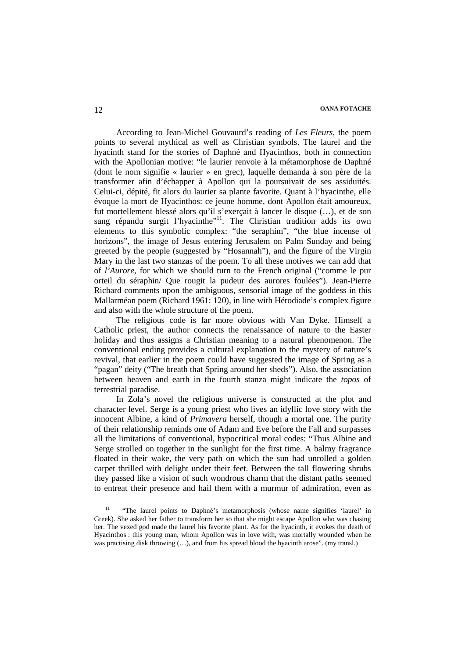According to Jean-Michel Gouvaurd's reading of *Les Fleurs*, the poem points to several mythical as well as Christian symbols. The laurel and the hyacinth stand for the stories of Daphné and Hyacinthos, both in connection with the Apollonian motive: "le laurier renvoie à la métamorphose de Daphné (dont le nom signifie « laurier » en grec), laquelle demanda à son père de la transformer afin d'échapper à Apollon qui la poursuivait de ses assiduités. Celui-ci, dépité, fit alors du laurier sa plante favorite. Quant à l'hyacinthe, elle évoque la mort de Hyacinthos: ce jeune homme, dont Apollon était amoureux, fut mortellement blessé alors qu'il s'exerçait à lancer le disque (…), et de son sang répandu surgit l'hyacinthe"<sup>11</sup>. The Christian tradition adds its own elements to this symbolic complex: "the seraphim", "the blue incense of horizons", the image of Jesus entering Jerusalem on Palm Sunday and being greeted by the people (suggested by "Hosannah"), and the figure of the Virgin Mary in the last two stanzas of the poem. To all these motives we can add that of *l'Aurore*, for which we should turn to the French original ("comme le pur orteil du séraphin/ Que rougit la pudeur des aurores foulées"). Jean-Pierre Richard comments upon the ambiguous, sensorial image of the goddess in this Mallarméan poem (Richard 1961: 120), in line with Hérodiade's complex figure and also with the whole structure of the poem.

The religious code is far more obvious with Van Dyke. Himself a Catholic priest, the author connects the renaissance of nature to the Easter holiday and thus assigns a Christian meaning to a natural phenomenon. The conventional ending provides a cultural explanation to the mystery of nature's revival, that earlier in the poem could have suggested the image of Spring as a "pagan" deity ("The breath that Spring around her sheds"). Also, the association between heaven and earth in the fourth stanza might indicate the *topos* of terrestrial paradise.

In Zola's novel the religious universe is constructed at the plot and character level. Serge is a young priest who lives an idyllic love story with the innocent Albine, a kind of *Primavera* herself, though a mortal one. The purity of their relationship reminds one of Adam and Eve before the Fall and surpasses all the limitations of conventional, hypocritical moral codes: "Thus Albine and Serge strolled on together in the sunlight for the first time. A balmy fragrance floated in their wake, the very path on which the sun had unrolled a golden carpet thrilled with delight under their feet. Between the tall flowering shrubs they passed like a vision of such wondrous charm that the distant paths seemed to entreat their presence and hail them with a murmur of admiration, even as

<sup>&</sup>lt;sup>11</sup> "The laurel points to Daphné's metamorphosis (whose name signifies 'laurel' in Greek). She asked her father to transform her so that she might escape Apollon who was chasing her. The vexed god made the laurel his favorite plant. As for the hyacinth, it evokes the death of Hyacinthos : this young man, whom Apollon was in love with, was mortally wounded when he was practising disk throwing  $(...)$ , and from his spread blood the hyacinth arose". (my transl.)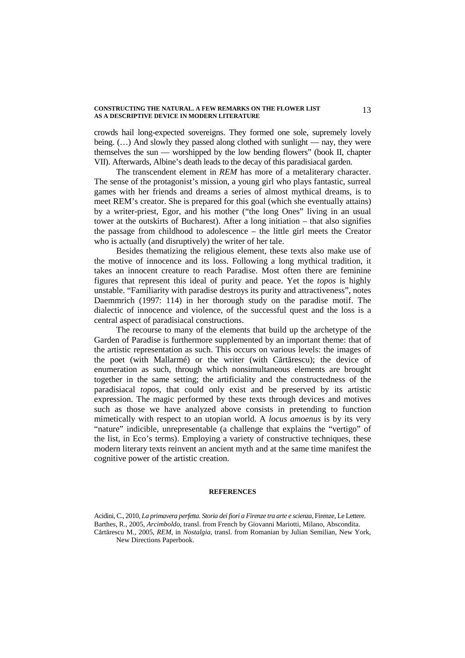crowds hail long-expected sovereigns. They formed one sole, supremely lovely being.  $(...)$  And slowly they passed along clothed with sunlight — nay, they were themselves the sun — worshipped by the low bending flowers" (book II, chapter VII). Afterwards, Albine's death leads to the decay of this paradisiacal garden.

The transcendent element in *REM* has more of a metaliterary character. The sense of the protagonist's mission, a young girl who plays fantastic, surreal games with her friends and dreams a series of almost mythical dreams, is to meet REM's creator. She is prepared for this goal (which she eventually attains) by a writer-priest, Egor, and his mother ("the long Ones" living in an usual tower at the outskirts of Bucharest). After a long initiation – that also signifies the passage from childhood to adolescence – the little girl meets the Creator who is actually (and disruptively) the writer of her tale.

Besides thematizing the religious element, these texts also make use of the motive of innocence and its loss. Following a long mythical tradition, it takes an innocent creature to reach Paradise. Most often there are feminine figures that represent this ideal of purity and peace. Yet the *topos* is highly unstable. "Familiarity with paradise destroys its purity and attractiveness", notes Daemmrich (1997: 114) in her thorough study on the paradise motif. The dialectic of innocence and violence, of the successful quest and the loss is a central aspect of paradisiacal constructions.

The recourse to many of the elements that build up the archetype of the Garden of Paradise is furthermore supplemented by an important theme: that of the artistic representation as such. This occurs on various levels: the images of the poet (with Mallarmé) or the writer (with Cărtărescu); the device of enumeration as such, through which nonsimultaneous elements are brought together in the same setting; the artificiality and the constructedness of the paradisiacal *topos*, that could only exist and be preserved by its artistic expression. The magic performed by these texts through devices and motives such as those we have analyzed above consists in pretending to function mimetically with respect to an utopian world. A *locus amoenus* is by its very "nature" indicible, unrepresentable (a challenge that explains the "vertigo" of the list, in Eco's terms). Employing a variety of constructive techniques, these modern literary texts reinvent an ancient myth and at the same time manifest the cognitive power of the artistic creation.

### **REFERENCES**

Acidini, C., 2010, *La primavera perfetta. Storia dei fiori a Firenze tra arte e scienza,* Firenze, Le Lettere. Barthes, R., 2005, *Arcimboldo,* transl. from French by Giovanni Mariotti, Milano, Abscondita. Cărtărescu M., 2005, *REM,* in *Nostalgia,* transl. from Romanian by Julian Semilian, New York, New Directions Paperbook.